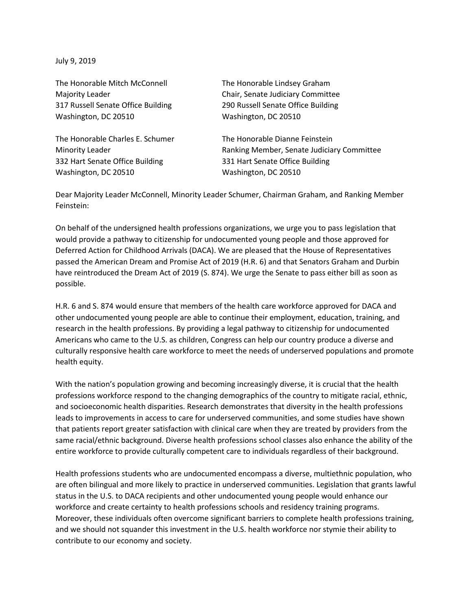July 9, 2019

The Honorable Mitch McConnell The Honorable Lindsey Graham Washington, DC 20510 Washington, DC 20510

The Honorable Charles E. Schumer The Honorable Dianne Feinstein 332 Hart Senate Office Building 331 Hart Senate Office Building Washington, DC 20510 Washington, DC 20510

Majority Leader **Chair** Chair, Senate Judiciary Committee 317 Russell Senate Office Building 290 Russell Senate Office Building

Minority Leader Ranking Member, Senate Judiciary Committee

Dear Majority Leader McConnell, Minority Leader Schumer, Chairman Graham, and Ranking Member Feinstein:

On behalf of the undersigned health professions organizations, we urge you to pass legislation that would provide a pathway to citizenship for undocumented young people and those approved for Deferred Action for Childhood Arrivals (DACA). We are pleased that the House of Representatives passed the American Dream and Promise Act of 2019 (H.R. 6) and that Senators Graham and Durbin have reintroduced the Dream Act of 2019 (S. 874). We urge the Senate to pass either bill as soon as possible.

H.R. 6 and S. 874 would ensure that members of the health care workforce approved for DACA and other undocumented young people are able to continue their employment, education, training, and research in the health professions. By providing a legal pathway to citizenship for undocumented Americans who came to the U.S. as children, Congress can help our country produce a diverse and culturally responsive health care workforce to meet the needs of underserved populations and promote health equity.

With the nation's population growing and becoming increasingly diverse, it is crucial that the health professions workforce respond to the changing demographics of the country to mitigate racial, ethnic, and socioeconomic health disparities. Research demonstrates that diversity in the health professions leads to improvements in access to care for underserved communities, and some studies have shown that patients report greater satisfaction with clinical care when they are treated by providers from the same racial/ethnic background. Diverse health professions school classes also enhance the ability of the entire workforce to provide culturally competent care to individuals regardless of their background.

Health professions students who are undocumented encompass a diverse, multiethnic population, who are often bilingual and more likely to practice in underserved communities. Legislation that grants lawful status in the U.S. to DACA recipients and other undocumented young people would enhance our workforce and create certainty to health professions schools and residency training programs. Moreover, these individuals often overcome significant barriers to complete health professions training, and we should not squander this investment in the U.S. health workforce nor stymie their ability to contribute to our economy and society.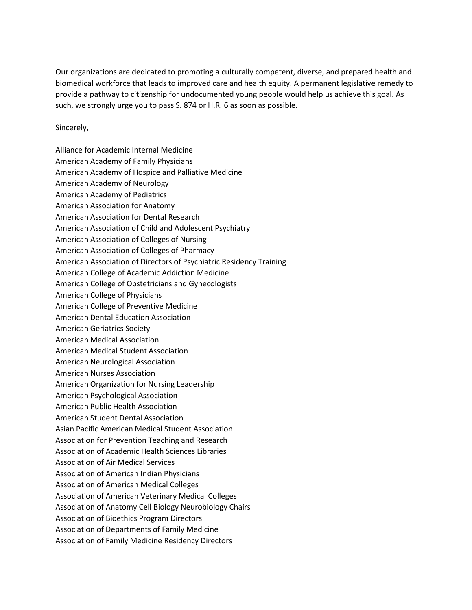Our organizations are dedicated to promoting a culturally competent, diverse, and prepared health and biomedical workforce that leads to improved care and health equity. A permanent legislative remedy to provide a pathway to citizenship for undocumented young people would help us achieve this goal. As such, we strongly urge you to pass S. 874 or H.R. 6 as soon as possible.

Sincerely,

Alliance for Academic Internal Medicine American Academy of Family Physicians American Academy of Hospice and Palliative Medicine American Academy of Neurology American Academy of Pediatrics American Association for Anatomy American Association for Dental Research American Association of Child and Adolescent Psychiatry American Association of Colleges of Nursing American Association of Colleges of Pharmacy American Association of Directors of Psychiatric Residency Training American College of Academic Addiction Medicine American College of Obstetricians and Gynecologists American College of Physicians American College of Preventive Medicine American Dental Education Association American Geriatrics Society American Medical Association American Medical Student Association American Neurological Association American Nurses Association American Organization for Nursing Leadership American Psychological Association American Public Health Association American Student Dental Association Asian Pacific American Medical Student Association Association for Prevention Teaching and Research Association of Academic Health Sciences Libraries Association of Air Medical Services Association of American Indian Physicians Association of American Medical Colleges Association of American Veterinary Medical Colleges Association of Anatomy Cell Biology Neurobiology Chairs Association of Bioethics Program Directors Association of Departments of Family Medicine Association of Family Medicine Residency Directors